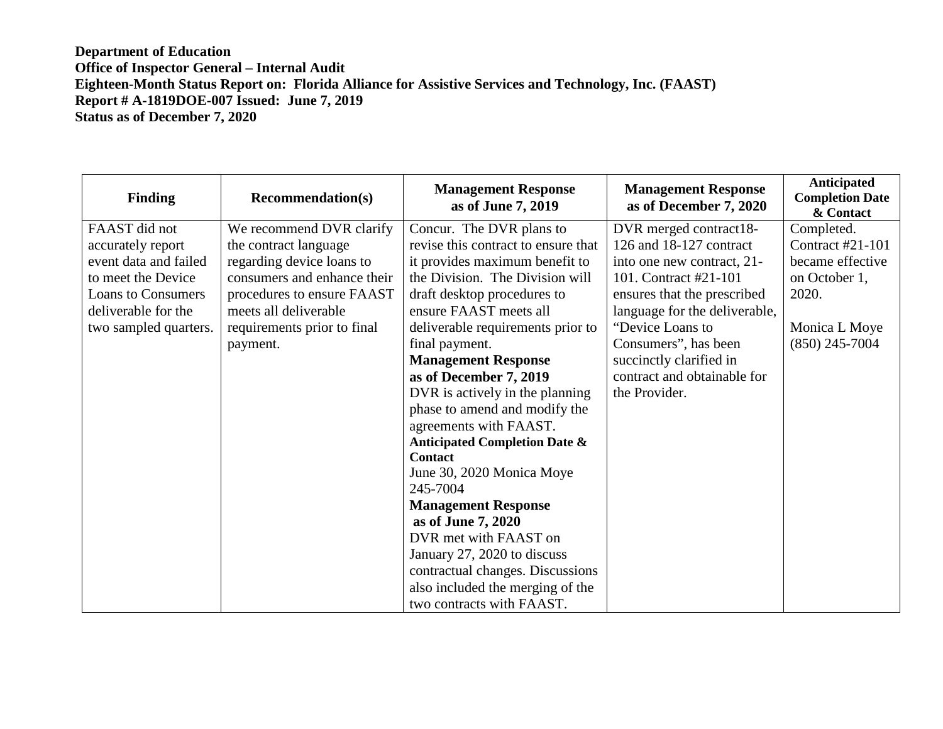## **Department of Education Office of Inspector General – Internal Audit Eighteen-Month Status Report on: Florida Alliance for Assistive Services and Technology, Inc. (FAAST) Report # A-1819DOE-007 Issued: June 7, 2019 Status as of December 7, 2020**

| <b>Finding</b>            | <b>Recommendation(s)</b>    | <b>Management Response</b><br>as of June 7, 2019 | <b>Management Response</b><br>as of December 7, 2020 | Anticipated<br><b>Completion Date</b><br>& Contact |
|---------------------------|-----------------------------|--------------------------------------------------|------------------------------------------------------|----------------------------------------------------|
| FAAST did not             | We recommend DVR clarify    | Concur. The DVR plans to                         | DVR merged contract18-                               | Completed.                                         |
| accurately report         | the contract language       | revise this contract to ensure that              | 126 and 18-127 contract                              | Contract #21-101                                   |
| event data and failed     | regarding device loans to   | it provides maximum benefit to                   | into one new contract, 21-                           | became effective                                   |
| to meet the Device        | consumers and enhance their | the Division. The Division will                  | 101. Contract #21-101                                | on October 1,                                      |
| <b>Loans to Consumers</b> | procedures to ensure FAAST  | draft desktop procedures to                      | ensures that the prescribed                          | 2020.                                              |
| deliverable for the       | meets all deliverable       | ensure FAAST meets all                           | language for the deliverable,                        |                                                    |
| two sampled quarters.     | requirements prior to final | deliverable requirements prior to                | "Device Loans to                                     | Monica L Moye                                      |
|                           | payment.                    | final payment.                                   | Consumers", has been                                 | $(850)$ 245-7004                                   |
|                           |                             | <b>Management Response</b>                       | succinctly clarified in                              |                                                    |
|                           |                             | as of December 7, 2019                           | contract and obtainable for                          |                                                    |
|                           |                             | DVR is actively in the planning                  | the Provider.                                        |                                                    |
|                           |                             | phase to amend and modify the                    |                                                      |                                                    |
|                           |                             | agreements with FAAST.                           |                                                      |                                                    |
|                           |                             | <b>Anticipated Completion Date &amp;</b>         |                                                      |                                                    |
|                           |                             | <b>Contact</b>                                   |                                                      |                                                    |
|                           |                             | June 30, 2020 Monica Moye                        |                                                      |                                                    |
|                           |                             | 245-7004                                         |                                                      |                                                    |
|                           |                             | <b>Management Response</b>                       |                                                      |                                                    |
|                           |                             | as of June 7, 2020                               |                                                      |                                                    |
|                           |                             | DVR met with FAAST on                            |                                                      |                                                    |
|                           |                             | January 27, 2020 to discuss                      |                                                      |                                                    |
|                           |                             | contractual changes. Discussions                 |                                                      |                                                    |
|                           |                             | also included the merging of the                 |                                                      |                                                    |
|                           |                             | two contracts with FAAST.                        |                                                      |                                                    |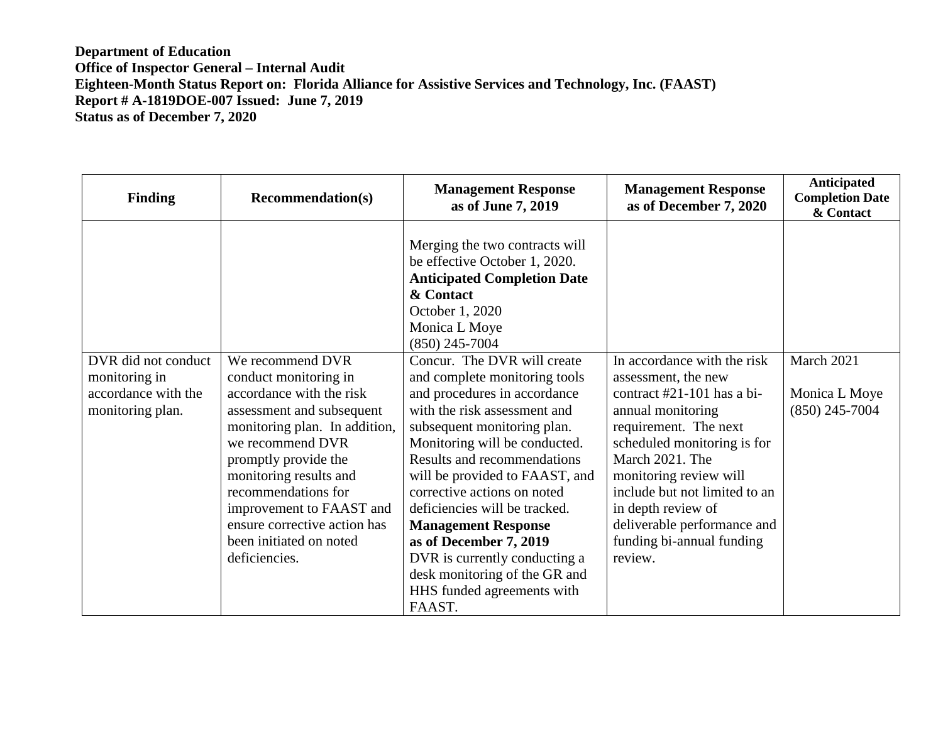**Department of Education Office of Inspector General – Internal Audit Eighteen-Month Status Report on: Florida Alliance for Assistive Services and Technology, Inc. (FAAST) Report # A-1819DOE-007 Issued: June 7, 2019 Status as of December 7, 2020** 

| <b>Finding</b>                                                                  | <b>Recommendation(s)</b>                                                                                                                                                                                                         | <b>Management Response</b><br>as of June 7, 2019                                                                                                                                                                                                                                                                                                                                                                                                                           | <b>Management Response</b><br>as of December 7, 2020                                                                                                                                                                                        | Anticipated<br><b>Completion Date</b><br>& Contact |
|---------------------------------------------------------------------------------|----------------------------------------------------------------------------------------------------------------------------------------------------------------------------------------------------------------------------------|----------------------------------------------------------------------------------------------------------------------------------------------------------------------------------------------------------------------------------------------------------------------------------------------------------------------------------------------------------------------------------------------------------------------------------------------------------------------------|---------------------------------------------------------------------------------------------------------------------------------------------------------------------------------------------------------------------------------------------|----------------------------------------------------|
| DVR did not conduct<br>monitoring in<br>accordance with the<br>monitoring plan. | We recommend DVR<br>conduct monitoring in<br>accordance with the risk<br>assessment and subsequent<br>monitoring plan. In addition,<br>we recommend DVR<br>promptly provide the<br>monitoring results and<br>recommendations for | Merging the two contracts will<br>be effective October 1, 2020.<br><b>Anticipated Completion Date</b><br>& Contact<br>October 1, 2020<br>Monica L Moye<br>$(850)$ 245-7004<br>Concur. The DVR will create<br>and complete monitoring tools<br>and procedures in accordance<br>with the risk assessment and<br>subsequent monitoring plan.<br>Monitoring will be conducted.<br>Results and recommendations<br>will be provided to FAAST, and<br>corrective actions on noted | In accordance with the risk<br>assessment, the new<br>contract #21-101 has a bi-<br>annual monitoring<br>requirement. The next<br>scheduled monitoring is for<br>March 2021. The<br>monitoring review will<br>include but not limited to an | March 2021<br>Monica L Moye<br>$(850)$ 245-7004    |
|                                                                                 | improvement to FAAST and<br>ensure corrective action has                                                                                                                                                                         | deficiencies will be tracked.<br><b>Management Response</b>                                                                                                                                                                                                                                                                                                                                                                                                                | in depth review of<br>deliverable performance and                                                                                                                                                                                           |                                                    |
|                                                                                 | been initiated on noted                                                                                                                                                                                                          | as of December 7, 2019                                                                                                                                                                                                                                                                                                                                                                                                                                                     | funding bi-annual funding                                                                                                                                                                                                                   |                                                    |
|                                                                                 | deficiencies.                                                                                                                                                                                                                    | DVR is currently conducting a                                                                                                                                                                                                                                                                                                                                                                                                                                              | review.                                                                                                                                                                                                                                     |                                                    |
|                                                                                 |                                                                                                                                                                                                                                  | desk monitoring of the GR and                                                                                                                                                                                                                                                                                                                                                                                                                                              |                                                                                                                                                                                                                                             |                                                    |
|                                                                                 |                                                                                                                                                                                                                                  | HHS funded agreements with<br>FAAST.                                                                                                                                                                                                                                                                                                                                                                                                                                       |                                                                                                                                                                                                                                             |                                                    |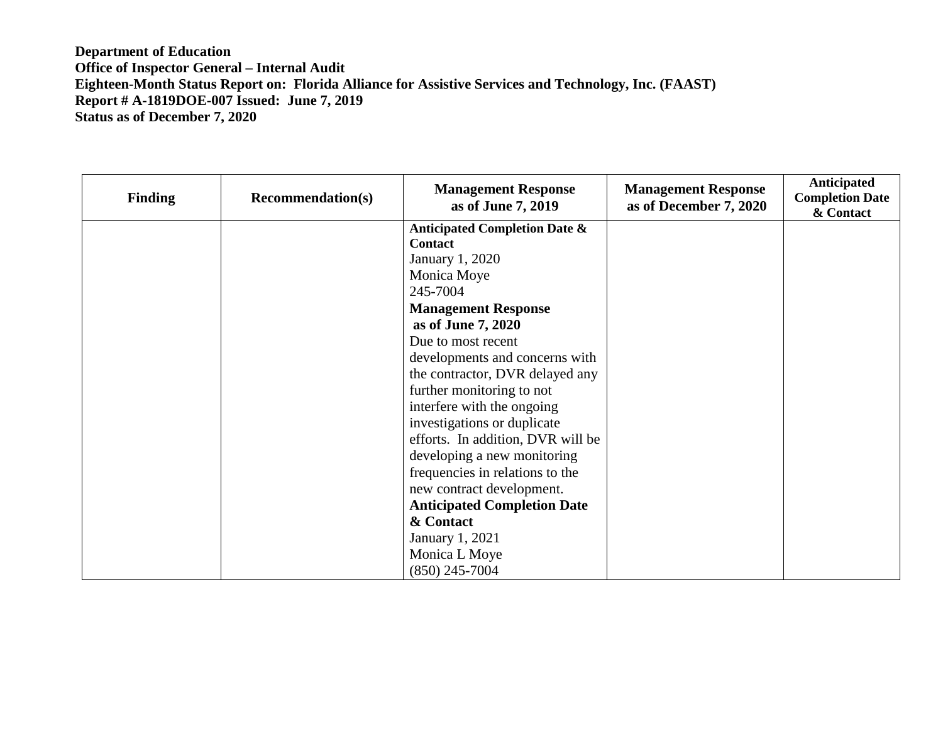**Department of Education Office of Inspector General – Internal Audit Eighteen-Month Status Report on: Florida Alliance for Assistive Services and Technology, Inc. (FAAST) Report # A-1819DOE-007 Issued: June 7, 2019 Status as of December 7, 2020** 

| <b>Finding</b> | <b>Recommendation(s)</b> | <b>Management Response</b><br>as of June 7, 2019 | <b>Management Response</b><br>as of December 7, 2020 | <b>Anticipated</b><br><b>Completion Date</b><br>& Contact |
|----------------|--------------------------|--------------------------------------------------|------------------------------------------------------|-----------------------------------------------------------|
|                |                          | <b>Anticipated Completion Date &amp;</b>         |                                                      |                                                           |
|                |                          | Contact                                          |                                                      |                                                           |
|                |                          | January 1, 2020                                  |                                                      |                                                           |
|                |                          | Monica Moye                                      |                                                      |                                                           |
|                |                          | 245-7004                                         |                                                      |                                                           |
|                |                          | <b>Management Response</b>                       |                                                      |                                                           |
|                |                          | as of June 7, 2020                               |                                                      |                                                           |
|                |                          | Due to most recent                               |                                                      |                                                           |
|                |                          | developments and concerns with                   |                                                      |                                                           |
|                |                          | the contractor, DVR delayed any                  |                                                      |                                                           |
|                |                          | further monitoring to not                        |                                                      |                                                           |
|                |                          | interfere with the ongoing                       |                                                      |                                                           |
|                |                          | investigations or duplicate                      |                                                      |                                                           |
|                |                          | efforts. In addition, DVR will be                |                                                      |                                                           |
|                |                          | developing a new monitoring                      |                                                      |                                                           |
|                |                          | frequencies in relations to the                  |                                                      |                                                           |
|                |                          | new contract development.                        |                                                      |                                                           |
|                |                          | <b>Anticipated Completion Date</b>               |                                                      |                                                           |
|                |                          | & Contact                                        |                                                      |                                                           |
|                |                          | <b>January 1, 2021</b>                           |                                                      |                                                           |
|                |                          | Monica L Moye                                    |                                                      |                                                           |
|                |                          | $(850)$ 245-7004                                 |                                                      |                                                           |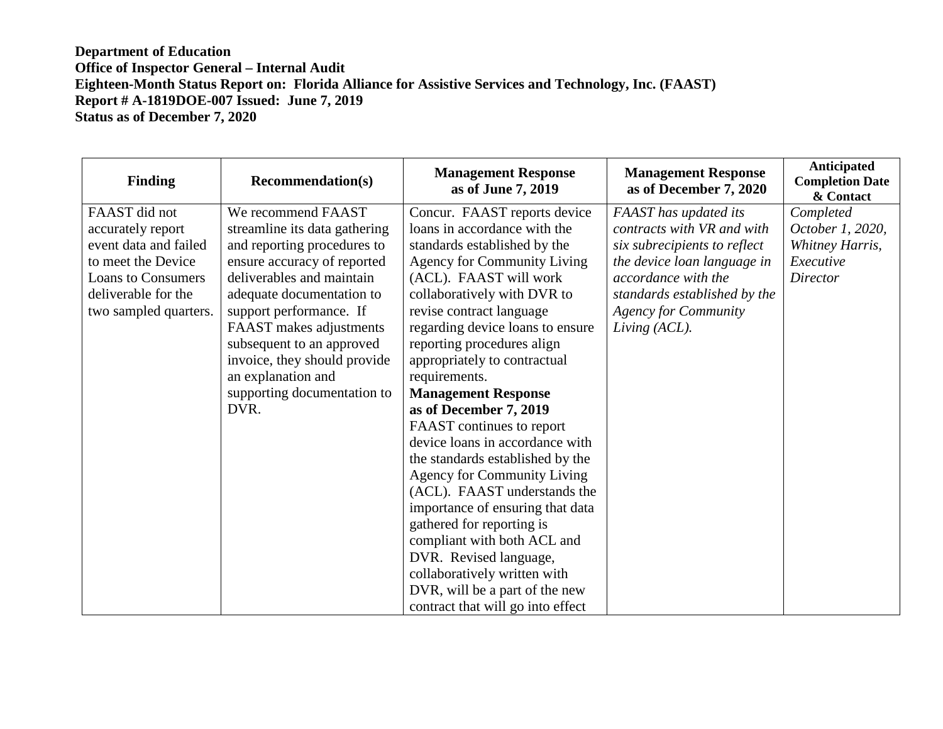## **Department of Education Office of Inspector General – Internal Audit Eighteen-Month Status Report on: Florida Alliance for Assistive Services and Technology, Inc. (FAAST) Report # A-1819DOE-007 Issued: June 7, 2019 Status as of December 7, 2020**

| <b>Management Response</b><br>as of June 7, 2019 | <b>Management Response</b><br>as of December 7, 2020                                                                                                                                                                                                                                                                                                                                                                                                                                                                                                                                                                                                                                                                                                                                                                                                                                                                                                                                                                             | Anticipated<br><b>Completion Date</b><br>& Contact                                                                                                                 |
|--------------------------------------------------|----------------------------------------------------------------------------------------------------------------------------------------------------------------------------------------------------------------------------------------------------------------------------------------------------------------------------------------------------------------------------------------------------------------------------------------------------------------------------------------------------------------------------------------------------------------------------------------------------------------------------------------------------------------------------------------------------------------------------------------------------------------------------------------------------------------------------------------------------------------------------------------------------------------------------------------------------------------------------------------------------------------------------------|--------------------------------------------------------------------------------------------------------------------------------------------------------------------|
| Concur. FAAST reports device                     | FAAST has updated its                                                                                                                                                                                                                                                                                                                                                                                                                                                                                                                                                                                                                                                                                                                                                                                                                                                                                                                                                                                                            | Completed                                                                                                                                                          |
| loans in accordance with the                     | contracts with VR and with                                                                                                                                                                                                                                                                                                                                                                                                                                                                                                                                                                                                                                                                                                                                                                                                                                                                                                                                                                                                       | October 1, 2020,                                                                                                                                                   |
| standards established by the                     |                                                                                                                                                                                                                                                                                                                                                                                                                                                                                                                                                                                                                                                                                                                                                                                                                                                                                                                                                                                                                                  | Whitney Harris,                                                                                                                                                    |
|                                                  |                                                                                                                                                                                                                                                                                                                                                                                                                                                                                                                                                                                                                                                                                                                                                                                                                                                                                                                                                                                                                                  | Executive                                                                                                                                                          |
|                                                  |                                                                                                                                                                                                                                                                                                                                                                                                                                                                                                                                                                                                                                                                                                                                                                                                                                                                                                                                                                                                                                  | <b>Director</b>                                                                                                                                                    |
|                                                  |                                                                                                                                                                                                                                                                                                                                                                                                                                                                                                                                                                                                                                                                                                                                                                                                                                                                                                                                                                                                                                  |                                                                                                                                                                    |
|                                                  |                                                                                                                                                                                                                                                                                                                                                                                                                                                                                                                                                                                                                                                                                                                                                                                                                                                                                                                                                                                                                                  |                                                                                                                                                                    |
|                                                  |                                                                                                                                                                                                                                                                                                                                                                                                                                                                                                                                                                                                                                                                                                                                                                                                                                                                                                                                                                                                                                  |                                                                                                                                                                    |
|                                                  |                                                                                                                                                                                                                                                                                                                                                                                                                                                                                                                                                                                                                                                                                                                                                                                                                                                                                                                                                                                                                                  |                                                                                                                                                                    |
|                                                  |                                                                                                                                                                                                                                                                                                                                                                                                                                                                                                                                                                                                                                                                                                                                                                                                                                                                                                                                                                                                                                  |                                                                                                                                                                    |
|                                                  |                                                                                                                                                                                                                                                                                                                                                                                                                                                                                                                                                                                                                                                                                                                                                                                                                                                                                                                                                                                                                                  |                                                                                                                                                                    |
|                                                  |                                                                                                                                                                                                                                                                                                                                                                                                                                                                                                                                                                                                                                                                                                                                                                                                                                                                                                                                                                                                                                  |                                                                                                                                                                    |
|                                                  |                                                                                                                                                                                                                                                                                                                                                                                                                                                                                                                                                                                                                                                                                                                                                                                                                                                                                                                                                                                                                                  |                                                                                                                                                                    |
|                                                  |                                                                                                                                                                                                                                                                                                                                                                                                                                                                                                                                                                                                                                                                                                                                                                                                                                                                                                                                                                                                                                  |                                                                                                                                                                    |
|                                                  |                                                                                                                                                                                                                                                                                                                                                                                                                                                                                                                                                                                                                                                                                                                                                                                                                                                                                                                                                                                                                                  |                                                                                                                                                                    |
|                                                  |                                                                                                                                                                                                                                                                                                                                                                                                                                                                                                                                                                                                                                                                                                                                                                                                                                                                                                                                                                                                                                  |                                                                                                                                                                    |
|                                                  |                                                                                                                                                                                                                                                                                                                                                                                                                                                                                                                                                                                                                                                                                                                                                                                                                                                                                                                                                                                                                                  |                                                                                                                                                                    |
|                                                  |                                                                                                                                                                                                                                                                                                                                                                                                                                                                                                                                                                                                                                                                                                                                                                                                                                                                                                                                                                                                                                  |                                                                                                                                                                    |
|                                                  |                                                                                                                                                                                                                                                                                                                                                                                                                                                                                                                                                                                                                                                                                                                                                                                                                                                                                                                                                                                                                                  |                                                                                                                                                                    |
|                                                  |                                                                                                                                                                                                                                                                                                                                                                                                                                                                                                                                                                                                                                                                                                                                                                                                                                                                                                                                                                                                                                  |                                                                                                                                                                    |
|                                                  |                                                                                                                                                                                                                                                                                                                                                                                                                                                                                                                                                                                                                                                                                                                                                                                                                                                                                                                                                                                                                                  |                                                                                                                                                                    |
|                                                  |                                                                                                                                                                                                                                                                                                                                                                                                                                                                                                                                                                                                                                                                                                                                                                                                                                                                                                                                                                                                                                  |                                                                                                                                                                    |
|                                                  |                                                                                                                                                                                                                                                                                                                                                                                                                                                                                                                                                                                                                                                                                                                                                                                                                                                                                                                                                                                                                                  |                                                                                                                                                                    |
|                                                  |                                                                                                                                                                                                                                                                                                                                                                                                                                                                                                                                                                                                                                                                                                                                                                                                                                                                                                                                                                                                                                  |                                                                                                                                                                    |
| We recommend FAAST<br>support performance. If    | <b>Recommendation(s)</b><br>streamline its data gathering<br>and reporting procedures to<br>ensure accuracy of reported<br><b>Agency for Community Living</b><br>deliverables and maintain<br>(ACL). FAAST will work<br>adequate documentation to<br>collaboratively with DVR to<br>revise contract language<br><b>FAAST</b> makes adjustments<br>regarding device loans to ensure<br>subsequent to an approved<br>reporting procedures align<br>invoice, they should provide<br>appropriately to contractual<br>requirements.<br>supporting documentation to<br><b>Management Response</b><br>as of December 7, 2019<br>FAAST continues to report<br>device loans in accordance with<br>the standards established by the<br><b>Agency for Community Living</b><br>(ACL). FAAST understands the<br>importance of ensuring that data<br>gathered for reporting is<br>compliant with both ACL and<br>DVR. Revised language,<br>collaboratively written with<br>DVR, will be a part of the new<br>contract that will go into effect | six subrecipients to reflect<br>the device loan language in<br>accordance with the<br>standards established by the<br><b>Agency for Community</b><br>Living (ACL). |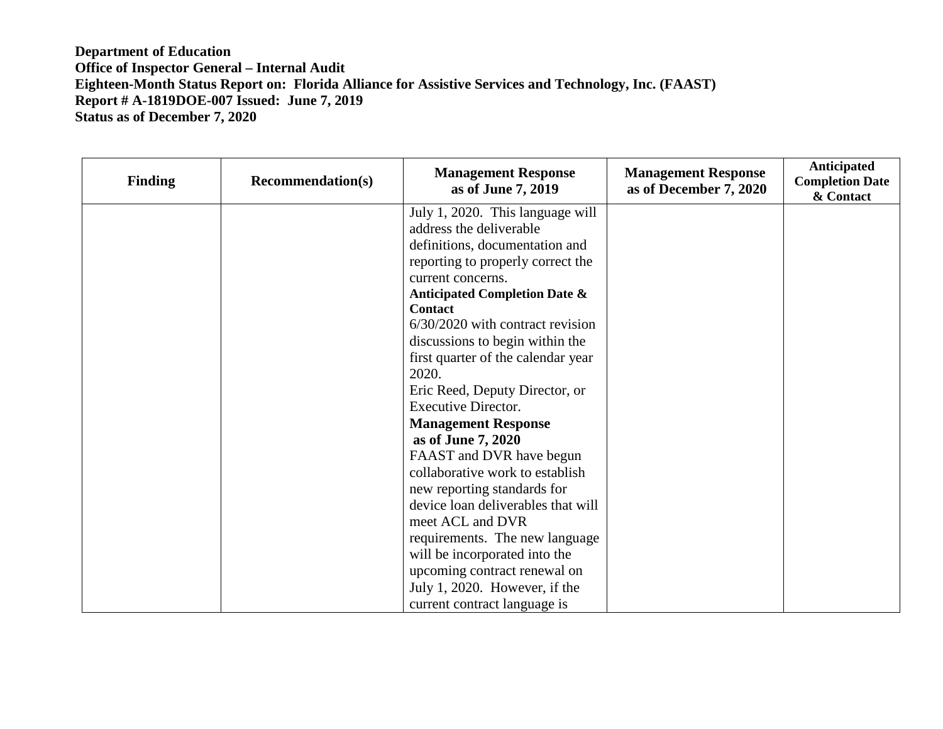## **Department of Education Office of Inspector General – Internal Audit Eighteen-Month Status Report on: Florida Alliance for Assistive Services and Technology, Inc. (FAAST) Report # A-1819DOE-007 Issued: June 7, 2019 Status as of December 7, 2020**

| <b>Finding</b> | <b>Recommendation(s)</b> | <b>Management Response</b><br>as of June 7, 2019 | <b>Management Response</b><br>as of December 7, 2020 | Anticipated<br><b>Completion Date</b><br>& Contact |
|----------------|--------------------------|--------------------------------------------------|------------------------------------------------------|----------------------------------------------------|
|                |                          | July 1, 2020. This language will                 |                                                      |                                                    |
|                |                          | address the deliverable                          |                                                      |                                                    |
|                |                          | definitions, documentation and                   |                                                      |                                                    |
|                |                          | reporting to properly correct the                |                                                      |                                                    |
|                |                          | current concerns.                                |                                                      |                                                    |
|                |                          | <b>Anticipated Completion Date &amp;</b>         |                                                      |                                                    |
|                |                          | <b>Contact</b>                                   |                                                      |                                                    |
|                |                          | 6/30/2020 with contract revision                 |                                                      |                                                    |
|                |                          | discussions to begin within the                  |                                                      |                                                    |
|                |                          | first quarter of the calendar year               |                                                      |                                                    |
|                |                          | 2020.                                            |                                                      |                                                    |
|                |                          | Eric Reed, Deputy Director, or                   |                                                      |                                                    |
|                |                          | <b>Executive Director.</b>                       |                                                      |                                                    |
|                |                          | <b>Management Response</b>                       |                                                      |                                                    |
|                |                          | as of June 7, 2020                               |                                                      |                                                    |
|                |                          | FAAST and DVR have begun                         |                                                      |                                                    |
|                |                          | collaborative work to establish                  |                                                      |                                                    |
|                |                          | new reporting standards for                      |                                                      |                                                    |
|                |                          | device loan deliverables that will               |                                                      |                                                    |
|                |                          | meet ACL and DVR                                 |                                                      |                                                    |
|                |                          | requirements. The new language                   |                                                      |                                                    |
|                |                          | will be incorporated into the                    |                                                      |                                                    |
|                |                          | upcoming contract renewal on                     |                                                      |                                                    |
|                |                          | July 1, 2020. However, if the                    |                                                      |                                                    |
|                |                          | current contract language is                     |                                                      |                                                    |